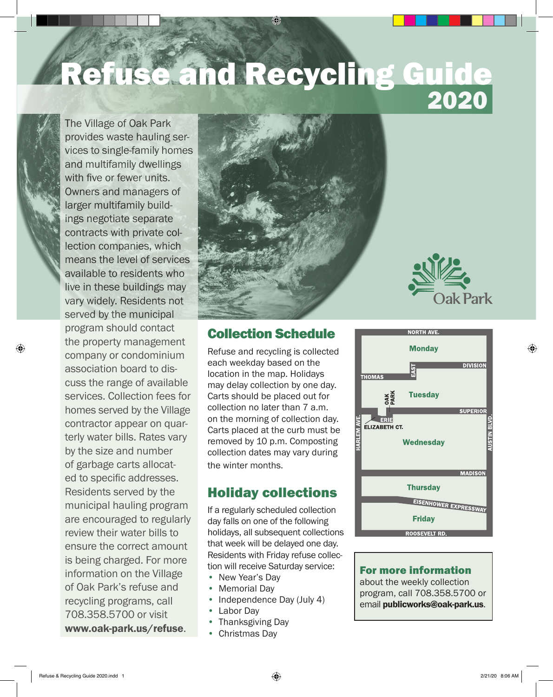# 2020 Refuse and Recycling Gui

The Village of Oak Park provides waste hauling services to single-family homes and multifamily dwellings with five or fewer units. Owners and managers of larger multifamily buildings negotiate separate contracts with private collection companies, which means the level of services available to residents who live in these buildings may vary widely. Residents not served by the municipal program should contact the property management company or condominium association board to discuss the range of available services. Collection fees for homes served by the Village contractor appear on quarterly water bills. Rates vary by the size and number of garbage carts allocated to specific addresses. Residents served by the municipal hauling program are encouraged to regularly review their water bills to ensure the correct amount is being charged. For more information on the Village of Oak Park's refuse and recycling programs, call 708.358.5700 or visit www.oak-park.us/refuse.

⊕





Refuse and recycling is collected each weekday based on the location in the map. Holidays may delay collection by one day. Carts should be placed out for collection no later than 7 a.m. on the morning of collection day. Carts placed at the curb must be removed by 10 p.m. Composting collection dates may vary during the winter months.

# Holiday collections

If a regularly scheduled collection day falls on one of the following holidays, all subsequent collections that week will be delayed one day. Residents with Friday refuse collection will receive Saturday service:

- New Year's Day
- Memorial Day
- Independence Day (July 4)
- Labor Day
- Thanksgiving Day
- Christmas Day



#### For more information

about the weekly collection program, call 708.358.5700 or email publicworks@oak-park.us.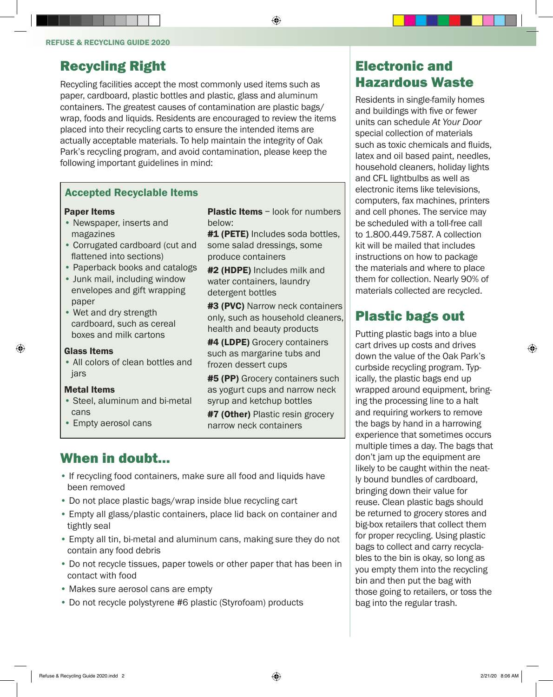## Recycling Right

Recycling facilities accept the most commonly used items such as paper, cardboard, plastic bottles and plastic, glass and aluminum containers. The greatest causes of contamination are plastic bags/ wrap, foods and liquids. Residents are encouraged to review the items placed into their recycling carts to ensure the intended items are actually acceptable materials. To help maintain the integrity of Oak Park's recycling program, and avoid contamination, please keep the following important guidelines in mind:

#### Accepted Recyclable Items

#### Paper Items

- Newspaper, inserts and magazines
- Corrugated cardboard (cut and flattened into sections)
- Paperback books and catalogs
- Junk mail, including window envelopes and gift wrapping paper
- Wet and dry strength cardboard, such as cereal boxes and milk cartons

#### Glass Items

⊕

• All colors of clean bottles and jars

#### Metal Items

- Steel, aluminum and bi-metal cans
- Empty aerosol cans

**Plastic Items** – look for numbers below:

⊕

#1 (PETE) Includes soda bottles, some salad dressings, some produce containers

#2 (HDPE) Includes milk and water containers, laundry detergent bottles

#3 (PVC) Narrow neck containers only, such as household cleaners, health and beauty products

#4 (LDPE) Grocery containers such as margarine tubs and frozen dessert cups

**#5 (PP)** Grocery containers such as yogurt cups and narrow neck syrup and ketchup bottles

**#7 (Other)** Plastic resin grocery narrow neck containers

#### When in doubt...

- If recycling food containers, make sure all food and liquids have been removed
- Do not place plastic bags/wrap inside blue recycling cart
- Empty all glass/plastic containers, place lid back on container and tightly seal
- Empty all tin, bi-metal and aluminum cans, making sure they do not contain any food debris
- Do not recycle tissues, paper towels or other paper that has been in contact with food
- Makes sure aerosol cans are empty
- Do not recycle polystyrene #6 plastic (Styrofoam) products

# Electronic and Hazardous Waste

Residents in single-family homes and buildings with five or fewer units can schedule *At Your Door*  special collection of materials such as toxic chemicals and fluids, latex and oil based paint, needles, household cleaners, holiday lights and CFL lightbulbs as well as electronic items like televisions, computers, fax machines, printers and cell phones. The service may be scheduled with a toll-free call to 1.800.449.7587. A collection kit will be mailed that includes instructions on how to package the materials and where to place them for collection. Nearly 90% of materials collected are recycled.

### Plastic bags out

Putting plastic bags into a blue cart drives up costs and drives down the value of the Oak Park's curbside recycling program. Typically, the plastic bags end up wrapped around equipment, bringing the processing line to a halt and requiring workers to remove the bags by hand in a harrowing experience that sometimes occurs multiple times a day. The bags that don't jam up the equipment are likely to be caught within the neatly bound bundles of cardboard, bringing down their value for reuse. Clean plastic bags should be returned to grocery stores and big-box retailers that collect them for proper recycling. Using plastic bags to collect and carry recyclables to the bin is okay, so long as you empty them into the recycling bin and then put the bag with those going to retailers, or toss the bag into the regular trash.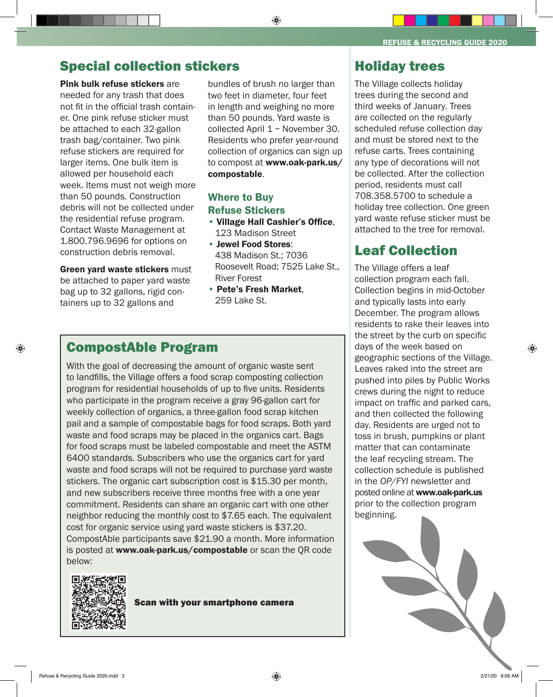#### Special collection stickers

Pink bulk refuse stickers are needed for any trash that does not fit in the official trash container. One pink refuse sticker must be attached to each 32-gallon trash bag/container. Two pink refuse stickers are required for larger items. One bulk item is allowed per household each week. Items must not weigh more than 50 pounds. Construction debris will not be collected under the residential refuse program. Contact Waste Management at 1.800.796.9696 for options on construction debris removal.

Green vard waste stickers must be attached to paper yard waste bag up to 32 gallons, rigid containers up to 32 gallons and

bundles of brush no larger than two feet in diameter, four feet in length and weighing no more than 50 pounds. Yard waste is collected April 1 - November 30. Residents who prefer year-round collection of organics can sign up to compost at www.oak-park.us/ compostable.

⊕

#### Where to Buy Refuse Stickers

- Village Hall Cashier's Office, 123 Madison Street
- Jewel Food Stores: 438 Madison St.; 7036 Roosevelt Road; 7525 Lake St., River Forest
- Pete's Fresh Market, 259 Lake St.

#### CompostAble Program

With the goal of decreasing the amount of organic waste sent to landfills, the Village offers a food scrap composting collection program for residential households of up to five units. Residents who participate in the program receive a gray 96-gallon cart for weekly collection of organics, a three-gallon food scrap kitchen pail and a sample of compostable bags for food scraps. Both yard waste and food scraps may be placed in the organics cart. Bags for food scraps must be labeled compostable and meet the ASTM 64O0 standards. Subscribers who use the organics cart for yard waste and food scraps will not be required to purchase yard waste stickers. The organic cart subscription cost is \$15.30 per month, and new subscribers receive three months free with a one year commitment. Residents can share an organic cart with one other neighbor reducing the monthly cost to \$7.65 each. The equivalent cost for organic service using yard waste stickers is \$37.20. CompostAble participants save \$21.90 a month. More information is posted at www.oak-park.us/compostable or scan the QR code below:



Scan with your smartphone camera

REFUSE & RECYCLING GUIDE 2020

#### Holiday trees

The Village collects holiday trees during the second and third weeks of January. Trees are collected on the regularly scheduled refuse collection day and must be stored next to the refuse carts. Trees containing any type of decorations will not be collected. After the collection period, residents must call 708.358.5700 to schedule a holiday tree collection. One green yard waste refuse sticker must be attached to the tree for removal.

## Leaf Collection

The Village offers a leaf collection program each fall. Collection begins in mid-October and typically lasts into early December. The program allows residents to rake their leaves into the street by the curb on specific days of the week based on geographic sections of the Village. Leaves raked into the street are pushed into piles by Public Works crews during the night to reduce impact on traffic and parked cars, and then collected the following day. Residents are urged not to toss in brush, pumpkins or plant matter that can contaminate the leaf recycling stream. The collection schedule is published in the *OP/FYI* newsletter and posted online at www.oak-park.us prior to the collection program beginning.